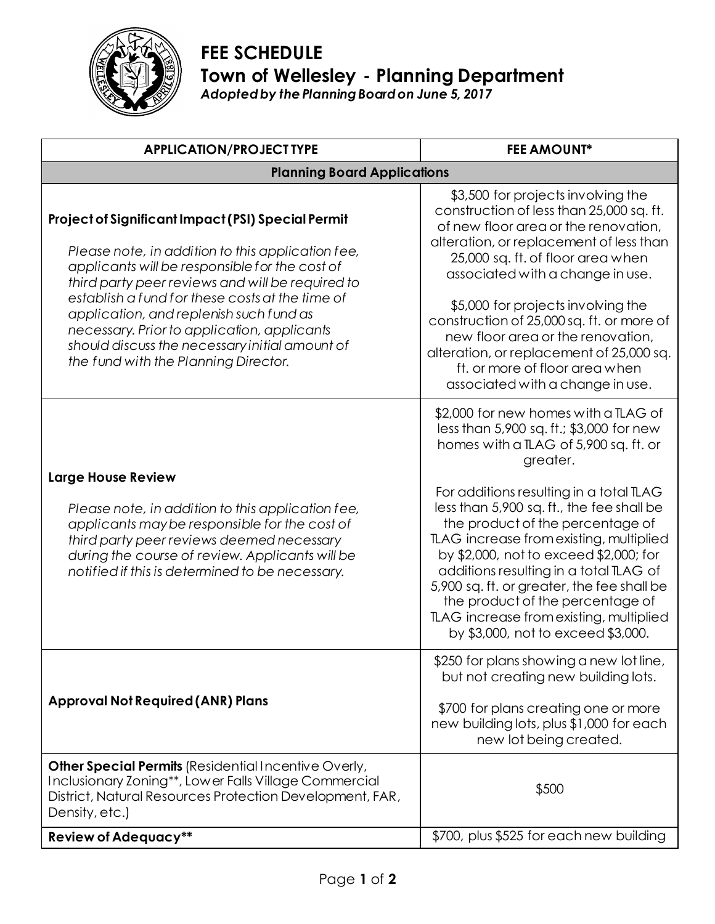

## **FEE SCHEDULE Town of Wellesley - Planning Department** *Adopted by the Planning Board on June 5, 2017*

| <b>APPLICATION/PROJECT TYPE</b>                                                                                                                                                                                                                                                                                                                                                                                                                             | <b>FEE AMOUNT*</b>                                                                                                                                                                                                                                                                                                                                                                                                                                                                                                                                                  |
|-------------------------------------------------------------------------------------------------------------------------------------------------------------------------------------------------------------------------------------------------------------------------------------------------------------------------------------------------------------------------------------------------------------------------------------------------------------|---------------------------------------------------------------------------------------------------------------------------------------------------------------------------------------------------------------------------------------------------------------------------------------------------------------------------------------------------------------------------------------------------------------------------------------------------------------------------------------------------------------------------------------------------------------------|
| <b>Planning Board Applications</b>                                                                                                                                                                                                                                                                                                                                                                                                                          |                                                                                                                                                                                                                                                                                                                                                                                                                                                                                                                                                                     |
| <b>Project of Significant Impact (PSI) Special Permit</b><br>Please note, in addition to this application fee,<br>applicants will be responsible for the cost of<br>third party peer reviews and will be required to<br>establish a fund for these costs at the time of<br>application, and replenish such fund as<br>necessary. Prior to application, applicants<br>should discuss the necessary initial amount of<br>the fund with the Planning Director. | \$3,500 for projects involving the<br>construction of less than 25,000 sq. ft.<br>of new floor area or the renovation,<br>alteration, or replacement of less than<br>25,000 sq. ft. of floor area when<br>associated with a change in use.<br>\$5,000 for projects involving the<br>construction of 25,000 sq. ft. or more of<br>new floor area or the renovation,<br>alteration, or replacement of 25,000 sq.<br>ft. or more of floor area when<br>associated with a change in use.                                                                                |
| <b>Large House Review</b><br>Please note, in addition to this application fee,<br>applicants may be responsible for the cost of<br>third party peer reviews deemed necessary<br>during the course of review. Applicants will be<br>notified if this is determined to be necessary.                                                                                                                                                                          | \$2,000 for new homes with a TLAG of<br>less than 5,900 sq. ft.; \$3,000 for new<br>homes with a TLAG of 5,900 sq. ft. or<br>greater.<br>For additions resulting in a total TLAG<br>less than 5,900 sq. ft., the fee shall be<br>the product of the percentage of<br>TLAG increase from existing, multiplied<br>by \$2,000, not to exceed \$2,000; for<br>additions resulting in a total TLAG of<br>5,900 sq. ft. or greater, the fee shall be<br>the product of the percentage of<br>TLAG increase from existing, multiplied<br>by \$3,000, not to exceed \$3,000. |
| <b>Approval Not Required (ANR) Plans</b>                                                                                                                                                                                                                                                                                                                                                                                                                    | \$250 for plans showing a new lot line,<br>but not creating new building lots.<br>\$700 for plans creating one or more<br>new building lots, plus \$1,000 for each<br>new lot being created.                                                                                                                                                                                                                                                                                                                                                                        |
| <b>Other Special Permits (Residential Incentive Overly,</b><br>Inclusionary Zoning**, Lower Falls Village Commercial<br>District, Natural Resources Protection Development, FAR,<br>Density, etc.)                                                                                                                                                                                                                                                          | \$500                                                                                                                                                                                                                                                                                                                                                                                                                                                                                                                                                               |
| <b>Review of Adequacy**</b>                                                                                                                                                                                                                                                                                                                                                                                                                                 | \$700, plus \$525 for each new building                                                                                                                                                                                                                                                                                                                                                                                                                                                                                                                             |